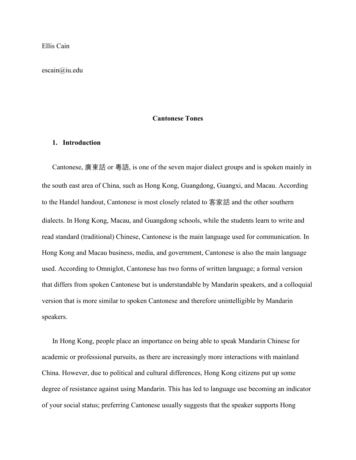## escain@iu.edu

## **Cantonese Tones**

## **1. Introduction**

Cantonese, 廣東話 or 粵語, is one of the seven major dialect groups and is spoken mainly in the south east area of China, such as Hong Kong, Guangdong, Guangxi, and Macau. According to the Handel handout, Cantonese is most closely related to 客家話 and the other southern dialects. In Hong Kong, Macau, and Guangdong schools, while the students learn to write and read standard (traditional) Chinese, Cantonese is the main language used for communication. In Hong Kong and Macau business, media, and government, Cantonese is also the main language used. According to Omniglot, Cantonese has two forms of written language; a formal version that differs from spoken Cantonese but is understandable by Mandarin speakers, and a colloquial version that is more similar to spoken Cantonese and therefore unintelligible by Mandarin speakers.

In Hong Kong, people place an importance on being able to speak Mandarin Chinese for academic or professional pursuits, as there are increasingly more interactions with mainland China. However, due to political and cultural differences, Hong Kong citizens put up some degree of resistance against using Mandarin. This has led to language use becoming an indicator of your social status; preferring Cantonese usually suggests that the speaker supports Hong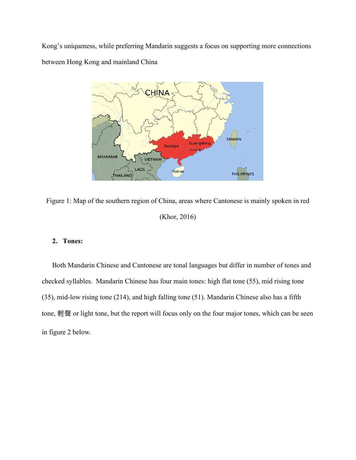Kong's uniqueness, while preferring Mandarin suggests a focus on supporting more connections between Hong Kong and mainland China



Figure 1: Map of the southern region of China, areas where Cantonese is mainly spoken in red (Khor, 2016)

# **2. Tones:**

Both Mandarin Chinese and Cantonese are tonal languages but differ in number of tones and checked syllables. Mandarin Chinese has four main tones: high flat tone (55), mid rising tone (35), mid-low rising tone (214), and high falling tone (51). Mandarin Chinese also has a fifth tone, 輕聲 or light tone, but the report will focus only on the four major tones, which can be seen in figure 2 below.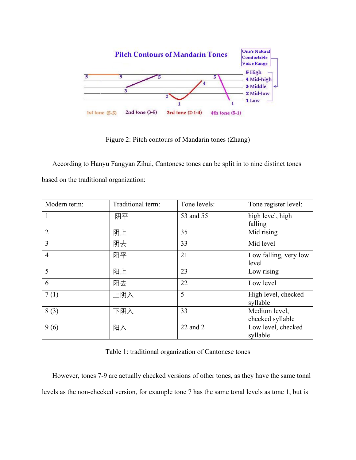

Figure 2: Pitch contours of Mandarin tones (Zhang)

According to Hanyu Fangyan Zihui, Cantonese tones can be split in to nine distinct tones based on the traditional organization:

| Modern term:   | Traditional term: | Tone levels: | Tone register level:              |
|----------------|-------------------|--------------|-----------------------------------|
|                | 阴平                | 53 and 55    | high level, high<br>falling       |
| $\overline{2}$ | 阴上                | 35           | Mid rising                        |
| $\overline{3}$ | 阴去                | 33           | Mid level                         |
| $\overline{4}$ | 阳平                | 21           | Low falling, very low<br>level    |
| 5              | 阳上                | 23           | Low rising                        |
| 6              | 阳去                | 22           | Low level                         |
| 7(1)           | 上阴入               | 5            | High level, checked<br>syllable   |
| 8(3)           | 下阴入               | 33           | Medium level,<br>checked syllable |
| 9(6)           | 阳入                | 22 and 2     | Low level, checked<br>syllable    |

Table 1: traditional organization of Cantonese tones

However, tones 7-9 are actually checked versions of other tones, as they have the same tonal levels as the non-checked version, for example tone 7 has the same tonal levels as tone 1, but is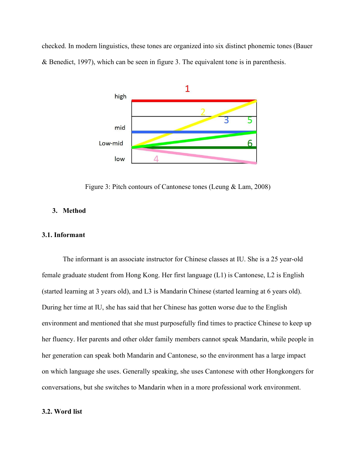checked. In modern linguistics, these tones are organized into six distinct phonemic tones (Bauer & Benedict, 1997), which can be seen in figure 3. The equivalent tone is in parenthesis.



Figure 3: Pitch contours of Cantonese tones (Leung & Lam, 2008)

# **3. Method**

# **3.1. Informant**

The informant is an associate instructor for Chinese classes at IU. She is a 25 year-old female graduate student from Hong Kong. Her first language (L1) is Cantonese, L2 is English (started learning at 3 years old), and L3 is Mandarin Chinese (started learning at 6 years old). During her time at IU, she has said that her Chinese has gotten worse due to the English environment and mentioned that she must purposefully find times to practice Chinese to keep up her fluency. Her parents and other older family members cannot speak Mandarin, while people in her generation can speak both Mandarin and Cantonese, so the environment has a large impact on which language she uses. Generally speaking, she uses Cantonese with other Hongkongers for conversations, but she switches to Mandarin when in a more professional work environment.

#### **3.2. Word list**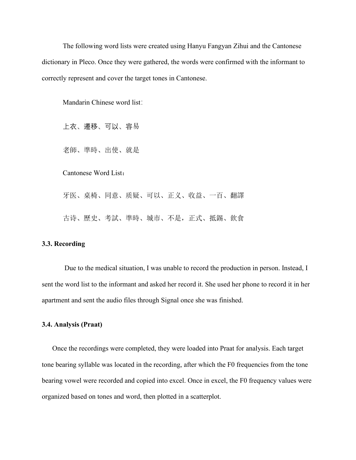The following word lists were created using Hanyu Fangyan Zihui and the Cantonese dictionary in Pleco. Once they were gathered, the words were confirmed with the informant to correctly represent and cover the target tones in Cantonese.

Mandarin Chinese word list:

上衣、遷移、可以、容易

老師、準時、出使、就是

Cantonese Word List:

牙医、桌椅、同意、质疑、可以、正义、收益、一百、翻譯 古诗、歷史、考試、準時、城市、不是,正式、抵錫、飲食

## **3.3. Recording**

Due to the medical situation, I was unable to record the production in person. Instead, I sent the word list to the informant and asked her record it. She used her phone to record it in her apartment and sent the audio files through Signal once she was finished.

## **3.4. Analysis (Praat)**

Once the recordings were completed, they were loaded into Praat for analysis. Each target tone bearing syllable was located in the recording, after which the F0 frequencies from the tone bearing vowel were recorded and copied into excel. Once in excel, the F0 frequency values were organized based on tones and word, then plotted in a scatterplot.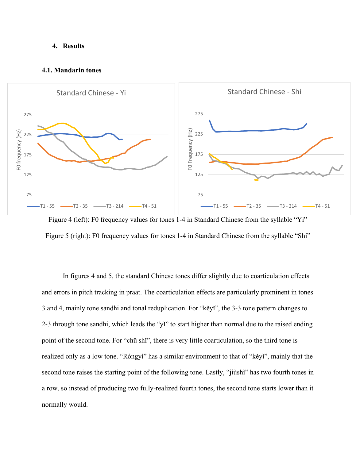#### **4. Results**

#### **4.1. Mandarin tones**





In figures 4 and 5, the standard Chinese tones differ slightly due to coarticulation effects and errors in pitch tracking in praat. The coarticulation effects are particularly prominent in tones 3 and 4, mainly tone sandhi and tonal reduplication. For "kěyǐ", the 3-3 tone pattern changes to 2-3 through tone sandhi, which leads the "yǐ" to start higher than normal due to the raised ending point of the second tone. For "chū shǐ", there is very little coarticulation, so the third tone is realized only as a low tone. "Róngyì" has a similar environment to that of "kěyǐ", mainly that the second tone raises the starting point of the following tone. Lastly, "jiùshì" has two fourth tones in a row, so instead of producing two fully-realized fourth tones, the second tone starts lower than it normally would.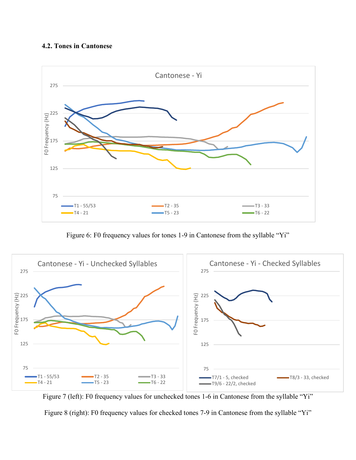# **4.2. Tones in Cantonese**



Figure 6: F0 frequency values for tones 1-9 in Cantonese from the syllable "Yi"



Figure 7 (left): F0 frequency values for unchecked tones 1-6 in Cantonese from the syllable "Yi"

Figure 8 (right): F0 frequency values for checked tones 7-9 in Cantonese from the syllable "Yi"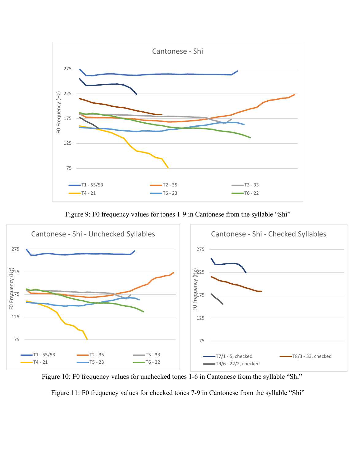

Figure 9: F0 frequency values for tones 1-9 in Cantonese from the syllable "Shi"



Figure 10: F0 frequency values for unchecked tones 1-6 in Cantonese from the syllable "Shi"

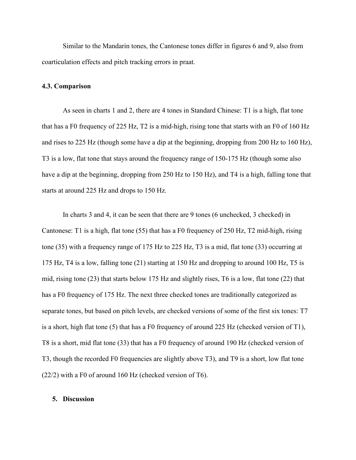Similar to the Mandarin tones, the Cantonese tones differ in figures 6 and 9, also from coarticulation effects and pitch tracking errors in praat.

## **4.3. Comparison**

As seen in charts 1 and 2, there are 4 tones in Standard Chinese: T1 is a high, flat tone that has a F0 frequency of 225 Hz, T2 is a mid-high, rising tone that starts with an F0 of 160 Hz and rises to 225 Hz (though some have a dip at the beginning, dropping from 200 Hz to 160 Hz), T3 is a low, flat tone that stays around the frequency range of 150-175 Hz (though some also have a dip at the beginning, dropping from 250 Hz to 150 Hz), and T4 is a high, falling tone that starts at around 225 Hz and drops to 150 Hz.

In charts 3 and 4, it can be seen that there are 9 tones (6 unchecked, 3 checked) in Cantonese: T1 is a high, flat tone (55) that has a F0 frequency of 250 Hz, T2 mid-high, rising tone (35) with a frequency range of 175 Hz to 225 Hz, T3 is a mid, flat tone (33) occurring at 175 Hz, T4 is a low, falling tone (21) starting at 150 Hz and dropping to around 100 Hz, T5 is mid, rising tone (23) that starts below 175 Hz and slightly rises, T6 is a low, flat tone (22) that has a F0 frequency of 175 Hz. The next three checked tones are traditionally categorized as separate tones, but based on pitch levels, are checked versions of some of the first six tones: T7 is a short, high flat tone (5) that has a F0 frequency of around 225 Hz (checked version of T1), T8 is a short, mid flat tone (33) that has a F0 frequency of around 190 Hz (checked version of T3, though the recorded F0 frequencies are slightly above T3), and T9 is a short, low flat tone (22/2) with a F0 of around 160 Hz (checked version of T6).

#### **5. Discussion**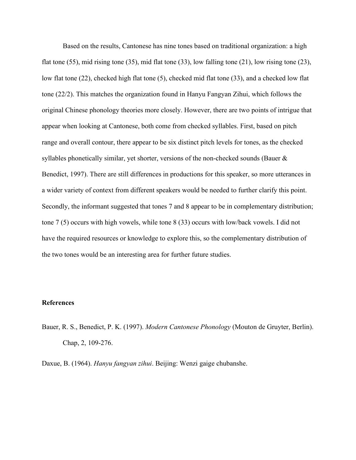Based on the results, Cantonese has nine tones based on traditional organization: a high flat tone (55), mid rising tone (35), mid flat tone (33), low falling tone (21), low rising tone (23), low flat tone (22), checked high flat tone (5), checked mid flat tone (33), and a checked low flat tone (22/2). This matches the organization found in Hanyu Fangyan Zihui, which follows the original Chinese phonology theories more closely. However, there are two points of intrigue that appear when looking at Cantonese, both come from checked syllables. First, based on pitch range and overall contour, there appear to be six distinct pitch levels for tones, as the checked syllables phonetically similar, yet shorter, versions of the non-checked sounds (Bauer & Benedict, 1997). There are still differences in productions for this speaker, so more utterances in a wider variety of context from different speakers would be needed to further clarify this point. Secondly, the informant suggested that tones 7 and 8 appear to be in complementary distribution; tone 7 (5) occurs with high vowels, while tone 8 (33) occurs with low/back vowels. I did not have the required resources or knowledge to explore this, so the complementary distribution of the two tones would be an interesting area for further future studies.

## **References**

Bauer, R. S., Benedict, P. K. (1997). *Modern Cantonese Phonology* (Mouton de Gruyter, Berlin). Chap, 2, 109-276.

Daxue, B. (1964). *Hanyu fangyan zihui*. Beijing: Wenzi gaige chubanshe.